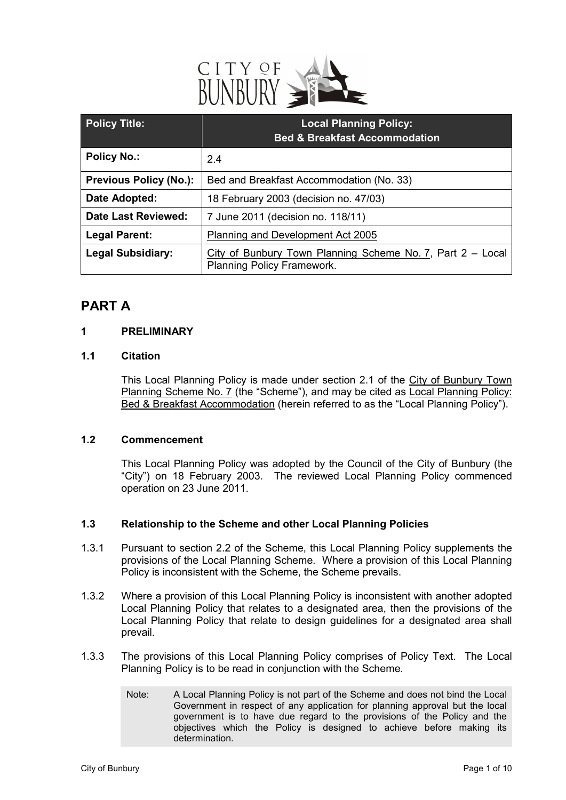

| <b>Policy Title:</b>          | <b>Local Planning Policy:</b><br><b>Bed &amp; Breakfast Accommodation</b>                |
|-------------------------------|------------------------------------------------------------------------------------------|
| <b>Policy No.:</b>            | 2.4                                                                                      |
| <b>Previous Policy (No.):</b> | Bed and Breakfast Accommodation (No. 33)                                                 |
| Date Adopted:                 | 18 February 2003 (decision no. 47/03)                                                    |
| <b>Date Last Reviewed:</b>    | 7 June 2011 (decision no. 118/11)                                                        |
| <b>Legal Parent:</b>          | Planning and Development Act 2005                                                        |
| <b>Legal Subsidiary:</b>      | City of Bunbury Town Planning Scheme No. 7, Part 2 - Local<br>Planning Policy Framework. |

## **PART A**

## **1 PRELIMINARY**

## **1.1 Citation**

This Local Planning Policy is made under section 2.1 of the City of Bunbury Town Planning Scheme No. 7 (the "Scheme"), and may be cited as Local Planning Policy: Bed & Breakfast Accommodation (herein referred to as the "Local Planning Policy").

## **1.2 Commencement**

This Local Planning Policy was adopted by the Council of the City of Bunbury (the "City") on 18 February 2003. The reviewed Local Planning Policy commenced operation on 23 June 2011.

## **1.3 Relationship to the Scheme and other Local Planning Policies**

- 1.3.1 Pursuant to section 2.2 of the Scheme, this Local Planning Policy supplements the provisions of the Local Planning Scheme. Where a provision of this Local Planning Policy is inconsistent with the Scheme, the Scheme prevails.
- 1.3.2 Where a provision of this Local Planning Policy is inconsistent with another adopted Local Planning Policy that relates to a designated area, then the provisions of the Local Planning Policy that relate to design guidelines for a designated area shall prevail.
- 1.3.3 The provisions of this Local Planning Policy comprises of Policy Text. The Local Planning Policy is to be read in conjunction with the Scheme.
	- Note: A Local Planning Policy is not part of the Scheme and does not bind the Local Government in respect of any application for planning approval but the local government is to have due regard to the provisions of the Policy and the objectives which the Policy is designed to achieve before making its determination.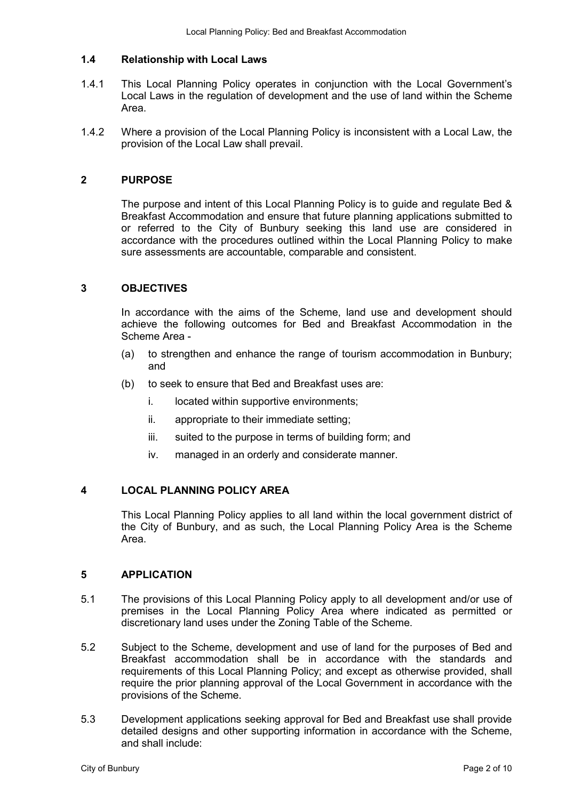## **1.4 Relationship with Local Laws**

- 1.4.1 This Local Planning Policy operates in conjunction with the Local Government's Local Laws in the regulation of development and the use of land within the Scheme Area.
- 1.4.2 Where a provision of the Local Planning Policy is inconsistent with a Local Law, the provision of the Local Law shall prevail.

## **2 PURPOSE**

 The purpose and intent of this Local Planning Policy is to guide and regulate Bed & Breakfast Accommodation and ensure that future planning applications submitted to or referred to the City of Bunbury seeking this land use are considered in accordance with the procedures outlined within the Local Planning Policy to make sure assessments are accountable, comparable and consistent.

#### **3 OBJECTIVES**

In accordance with the aims of the Scheme, land use and development should achieve the following outcomes for Bed and Breakfast Accommodation in the Scheme Area -

- (a) to strengthen and enhance the range of tourism accommodation in Bunbury; and
- (b) to seek to ensure that Bed and Breakfast uses are:
	- i. located within supportive environments;
	- ii. appropriate to their immediate setting;
	- iii. suited to the purpose in terms of building form; and
	- iv. managed in an orderly and considerate manner.

## **4 LOCAL PLANNING POLICY AREA**

This Local Planning Policy applies to all land within the local government district of the City of Bunbury, and as such, the Local Planning Policy Area is the Scheme Area.

#### **5 APPLICATION**

- 5.1 The provisions of this Local Planning Policy apply to all development and/or use of premises in the Local Planning Policy Area where indicated as permitted or discretionary land uses under the Zoning Table of the Scheme.
- 5.2 Subject to the Scheme, development and use of land for the purposes of Bed and Breakfast accommodation shall be in accordance with the standards and requirements of this Local Planning Policy; and except as otherwise provided, shall require the prior planning approval of the Local Government in accordance with the provisions of the Scheme.
- 5.3 Development applications seeking approval for Bed and Breakfast use shall provide detailed designs and other supporting information in accordance with the Scheme, and shall include: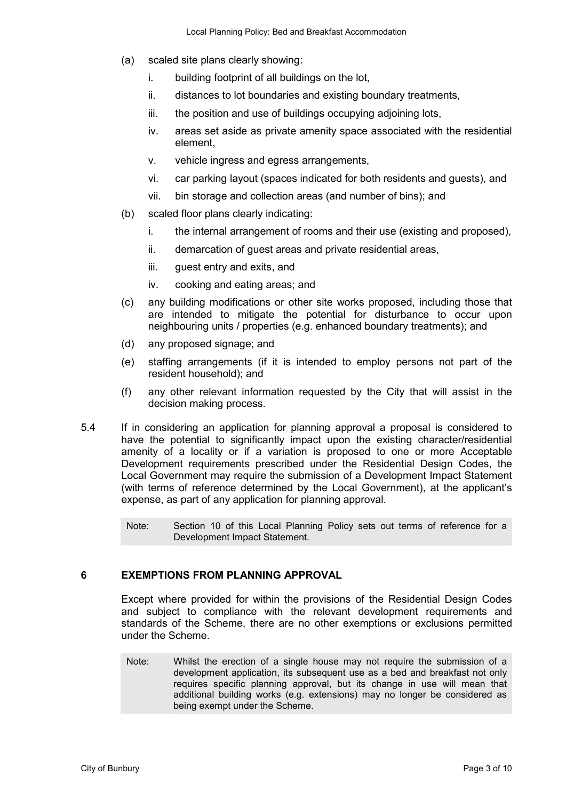- (a) scaled site plans clearly showing:
	- i. building footprint of all buildings on the lot,
	- ii. distances to lot boundaries and existing boundary treatments,
	- iii. the position and use of buildings occupying adjoining lots,
	- iv. areas set aside as private amenity space associated with the residential element,
	- v. vehicle ingress and egress arrangements,
	- vi. car parking layout (spaces indicated for both residents and guests), and
	- vii. bin storage and collection areas (and number of bins); and
- (b) scaled floor plans clearly indicating:
	- i. the internal arrangement of rooms and their use (existing and proposed),
	- ii. demarcation of guest areas and private residential areas,
	- iii. guest entry and exits, and
	- iv. cooking and eating areas; and
- (c) any building modifications or other site works proposed, including those that are intended to mitigate the potential for disturbance to occur upon neighbouring units / properties (e.g. enhanced boundary treatments); and
- (d) any proposed signage; and
- (e) staffing arrangements (if it is intended to employ persons not part of the resident household); and
- (f) any other relevant information requested by the City that will assist in the decision making process.
- 5.4 If in considering an application for planning approval a proposal is considered to have the potential to significantly impact upon the existing character/residential amenity of a locality or if a variation is proposed to one or more Acceptable Development requirements prescribed under the Residential Design Codes, the Local Government may require the submission of a Development Impact Statement (with terms of reference determined by the Local Government), at the applicant's expense, as part of any application for planning approval.

Note: Section 10 of this Local Planning Policy sets out terms of reference for a Development Impact Statement.

#### **6 EXEMPTIONS FROM PLANNING APPROVAL**

Except where provided for within the provisions of the Residential Design Codes and subject to compliance with the relevant development requirements and standards of the Scheme, there are no other exemptions or exclusions permitted under the Scheme.

Note: Whilst the erection of a single house may not require the submission of a development application, its subsequent use as a bed and breakfast not only requires specific planning approval, but its change in use will mean that additional building works (e.g. extensions) may no longer be considered as being exempt under the Scheme.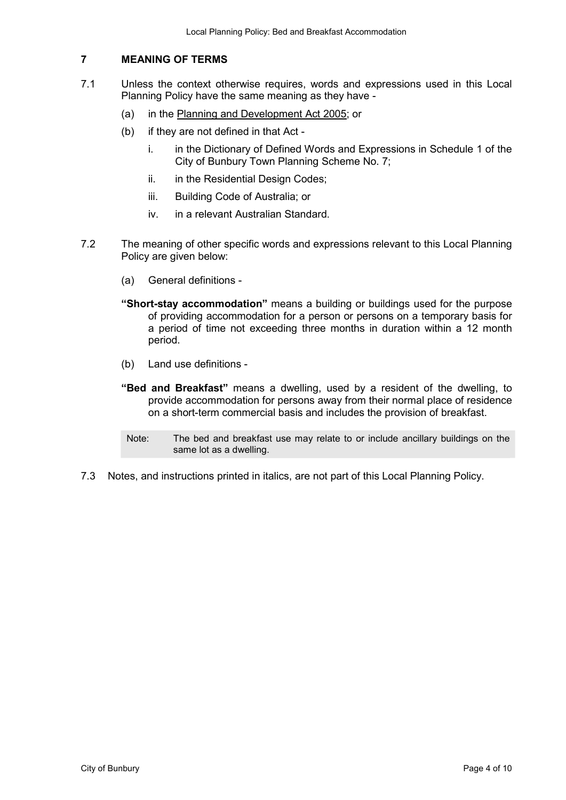## **7 MEANING OF TERMS**

- 7.1 Unless the context otherwise requires, words and expressions used in this Local Planning Policy have the same meaning as they have -
	- (a) in the Planning and Development Act 2005; or
	- (b) if they are not defined in that Act
		- i. in the Dictionary of Defined Words and Expressions in Schedule 1 of the City of Bunbury Town Planning Scheme No. 7;
		- ii. in the Residential Design Codes:
		- iii. Building Code of Australia; or
		- iv. in a relevant Australian Standard.
- 7.2 The meaning of other specific words and expressions relevant to this Local Planning Policy are given below:
	- (a) General definitions -
	- **"Short-stay accommodation"** means a building or buildings used for the purpose of providing accommodation for a person or persons on a temporary basis for a period of time not exceeding three months in duration within a 12 month period.
	- (b) Land use definitions -
	- **"Bed and Breakfast"** means a dwelling, used by a resident of the dwelling, to provide accommodation for persons away from their normal place of residence on a short-term commercial basis and includes the provision of breakfast.
	- Note: The bed and breakfast use may relate to or include ancillary buildings on the same lot as a dwelling.
- 7.3 Notes, and instructions printed in italics, are not part of this Local Planning Policy.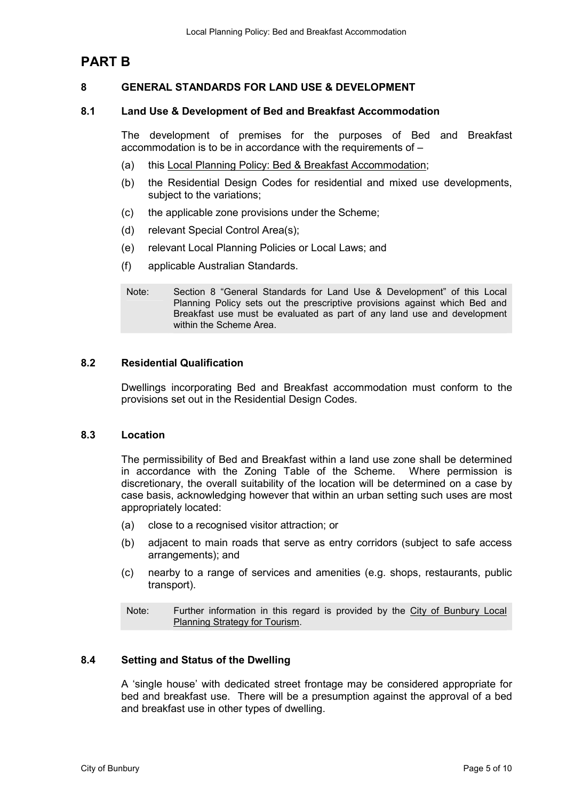## **PART B**

## **8 GENERAL STANDARDS FOR LAND USE & DEVELOPMENT**

## **8.1 Land Use & Development of Bed and Breakfast Accommodation**

The development of premises for the purposes of Bed and Breakfast accommodation is to be in accordance with the requirements of –

- (a) this Local Planning Policy: Bed & Breakfast Accommodation;
- (b) the Residential Design Codes for residential and mixed use developments, subject to the variations;
- (c) the applicable zone provisions under the Scheme;
- (d) relevant Special Control Area(s);
- (e) relevant Local Planning Policies or Local Laws; and
- (f) applicable Australian Standards.
- Note: Section 8 "General Standards for Land Use & Development" of this Local Planning Policy sets out the prescriptive provisions against which Bed and Breakfast use must be evaluated as part of any land use and development within the Scheme Area.

#### **8.2 Residential Qualification**

Dwellings incorporating Bed and Breakfast accommodation must conform to the provisions set out in the Residential Design Codes.

#### **8.3 Location**

The permissibility of Bed and Breakfast within a land use zone shall be determined in accordance with the Zoning Table of the Scheme. Where permission is discretionary, the overall suitability of the location will be determined on a case by case basis, acknowledging however that within an urban setting such uses are most appropriately located:

- (a) close to a recognised visitor attraction; or
- (b) adjacent to main roads that serve as entry corridors (subject to safe access arrangements); and
- (c) nearby to a range of services and amenities (e.g. shops, restaurants, public transport).

## **8.4 Setting and Status of the Dwelling**

A 'single house' with dedicated street frontage may be considered appropriate for bed and breakfast use. There will be a presumption against the approval of a bed and breakfast use in other types of dwelling.

Note: Further information in this regard is provided by the City of Bunbury Local Planning Strategy for Tourism.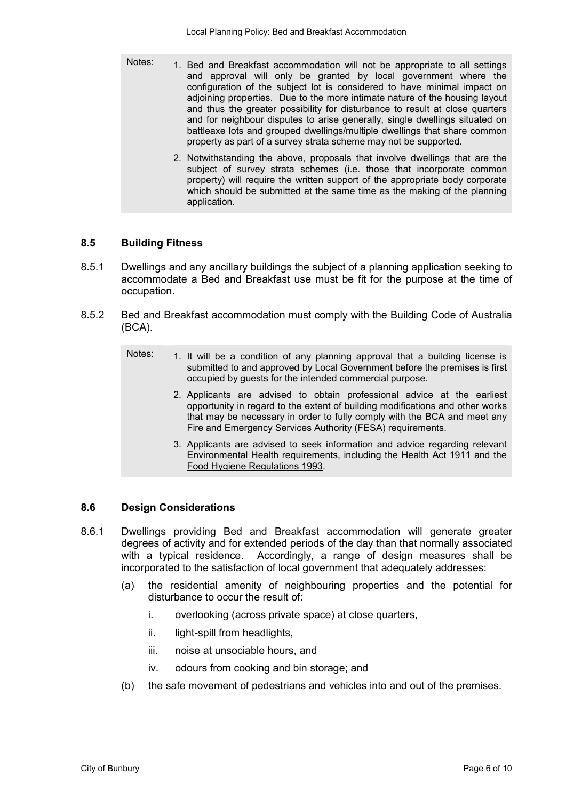- Notes: 1. Bed and Breakfast accommodation will not be appropriate to all settings and approval will only be granted by local government where the configuration of the subject lot is considered to have minimal impact on adjoining properties. Due to the more intimate nature of the housing layout and thus the greater possibility for disturbance to result at close quarters and for neighbour disputes to arise generally, single dwellings situated on battleaxe lots and grouped dwellings/multiple dwellings that share common property as part of a survey strata scheme may not be supported.
	- 2. Notwithstanding the above, proposals that involve dwellings that are the subject of survey strata schemes (i.e. those that incorporate common property) will require the written support of the appropriate body corporate which should be submitted at the same time as the making of the planning application.

#### **8.5 Building Fitness**

- 8.5.1 Dwellings and any ancillary buildings the subject of a planning application seeking to accommodate a Bed and Breakfast use must be fit for the purpose at the time of occupation.
- 8.5.2 Bed and Breakfast accommodation must comply with the Building Code of Australia (BCA).
	- Notes: 1. It will be a condition of any planning approval that a building license is submitted to and approved by Local Government before the premises is first occupied by guests for the intended commercial purpose.
		- 2. Applicants are advised to obtain professional advice at the earliest opportunity in regard to the extent of building modifications and other works that may be necessary in order to fully comply with the BCA and meet any Fire and Emergency Services Authority (FESA) requirements.
		- 3. Applicants are advised to seek information and advice regarding relevant Environmental Health requirements, including the Health Act 1911 and the Food Hygiene Regulations 1993.

#### **8.6 Design Considerations**

- 8.6.1 Dwellings providing Bed and Breakfast accommodation will generate greater degrees of activity and for extended periods of the day than that normally associated with a typical residence. Accordingly, a range of design measures shall be incorporated to the satisfaction of local government that adequately addresses:
	- (a) the residential amenity of neighbouring properties and the potential for disturbance to occur the result of:
		- i. overlooking (across private space) at close quarters,
		- ii. light-spill from headlights,
		- iii. noise at unsociable hours, and
		- iv. odours from cooking and bin storage; and
	- (b) the safe movement of pedestrians and vehicles into and out of the premises.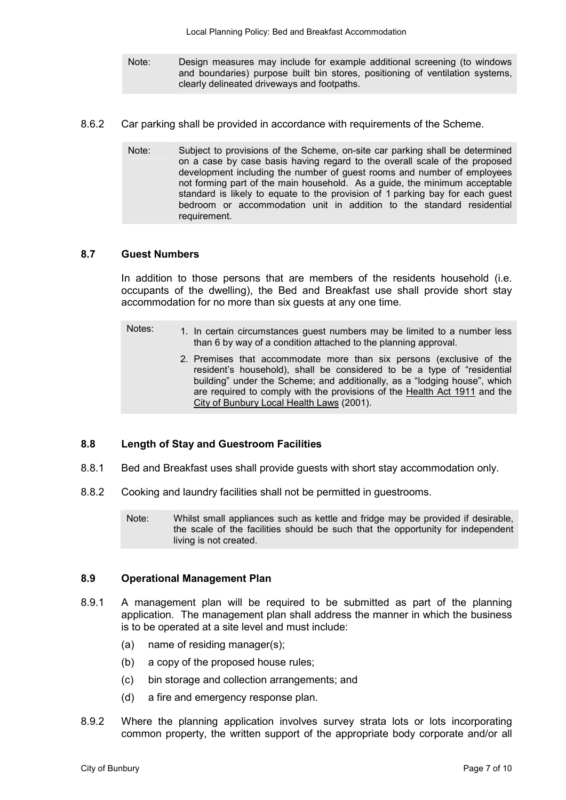- Note: Design measures may include for example additional screening (to windows and boundaries) purpose built bin stores, positioning of ventilation systems, clearly delineated driveways and footpaths.
- 8.6.2 Car parking shall be provided in accordance with requirements of the Scheme.
	- Note: Subject to provisions of the Scheme, on-site car parking shall be determined on a case by case basis having regard to the overall scale of the proposed development including the number of guest rooms and number of employees not forming part of the main household. As a guide, the minimum acceptable standard is likely to equate to the provision of 1 parking bay for each guest bedroom or accommodation unit in addition to the standard residential requirement.

#### **8.7 Guest Numbers**

In addition to those persons that are members of the residents household (i.e. occupants of the dwelling), the Bed and Breakfast use shall provide short stay accommodation for no more than six guests at any one time.

- Notes: 1. In certain circumstances quest numbers may be limited to a number less than 6 by way of a condition attached to the planning approval.
	- 2. Premises that accommodate more than six persons (exclusive of the resident's household), shall be considered to be a type of "residential building" under the Scheme; and additionally, as a "lodging house", which are required to comply with the provisions of the Health Act 1911 and the City of Bunbury Local Health Laws (2001).

#### **8.8 Length of Stay and Guestroom Facilities**

- 8.8.1 Bed and Breakfast uses shall provide guests with short stay accommodation only.
- 8.8.2 Cooking and laundry facilities shall not be permitted in guestrooms.
	- Note: Whilst small appliances such as kettle and fridge may be provided if desirable, the scale of the facilities should be such that the opportunity for independent living is not created.

#### **8.9 Operational Management Plan**

- 8.9.1 A management plan will be required to be submitted as part of the planning application. The management plan shall address the manner in which the business is to be operated at a site level and must include:
	- (a) name of residing manager(s);
	- (b) a copy of the proposed house rules;
	- (c) bin storage and collection arrangements; and
	- (d) a fire and emergency response plan.
- 8.9.2 Where the planning application involves survey strata lots or lots incorporating common property, the written support of the appropriate body corporate and/or all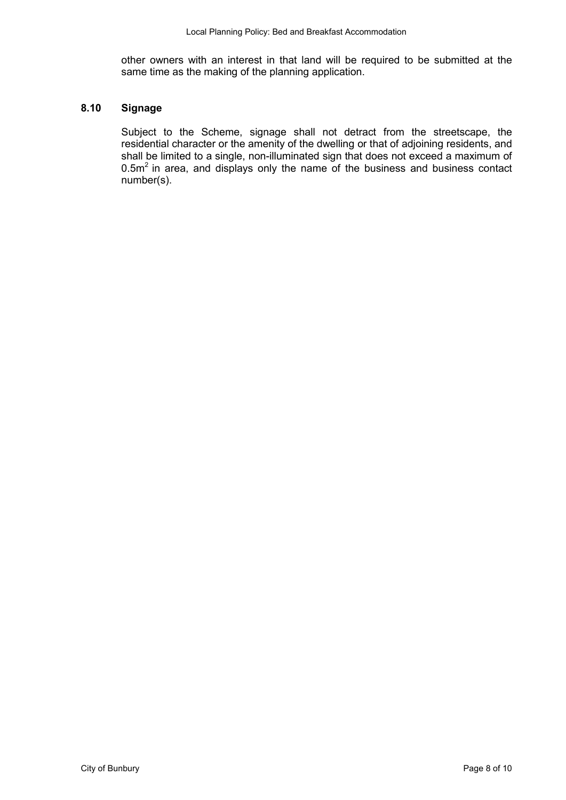other owners with an interest in that land will be required to be submitted at the same time as the making of the planning application.

#### **8.10 Signage**

Subject to the Scheme, signage shall not detract from the streetscape, the residential character or the amenity of the dwelling or that of adjoining residents, and shall be limited to a single, non-illuminated sign that does not exceed a maximum of  $0.5m<sup>2</sup>$  in area, and displays only the name of the business and business contact number(s).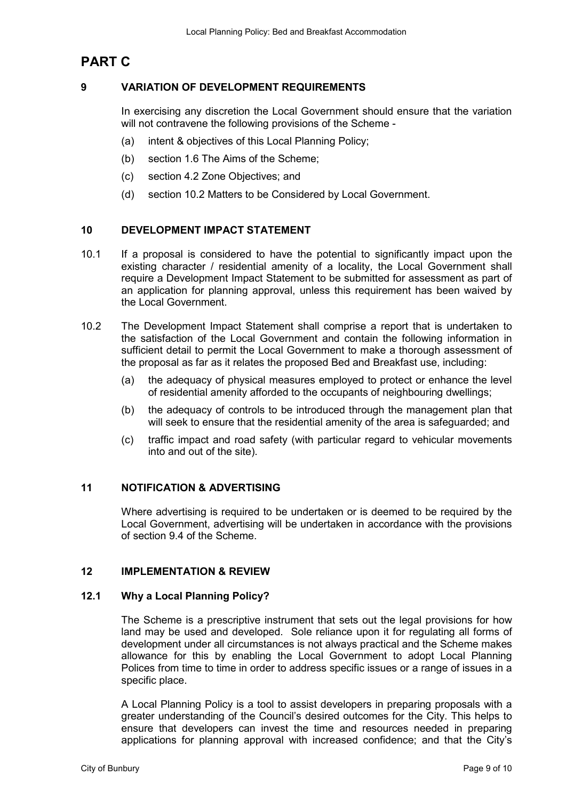# **PART C**

## **9 VARIATION OF DEVELOPMENT REQUIREMENTS**

In exercising any discretion the Local Government should ensure that the variation will not contravene the following provisions of the Scheme -

- (a) intent & objectives of this Local Planning Policy;
- (b) section 1.6 The Aims of the Scheme;
- (c) section 4.2 Zone Objectives; and
- (d) section 10.2 Matters to be Considered by Local Government.

## **10 DEVELOPMENT IMPACT STATEMENT**

- 10.1 If a proposal is considered to have the potential to significantly impact upon the existing character / residential amenity of a locality, the Local Government shall require a Development Impact Statement to be submitted for assessment as part of an application for planning approval, unless this requirement has been waived by the Local Government.
- 10.2 The Development Impact Statement shall comprise a report that is undertaken to the satisfaction of the Local Government and contain the following information in sufficient detail to permit the Local Government to make a thorough assessment of the proposal as far as it relates the proposed Bed and Breakfast use, including:
	- (a) the adequacy of physical measures employed to protect or enhance the level of residential amenity afforded to the occupants of neighbouring dwellings;
	- (b) the adequacy of controls to be introduced through the management plan that will seek to ensure that the residential amenity of the area is safeguarded; and
	- (c) traffic impact and road safety (with particular regard to vehicular movements into and out of the site).

## **11 NOTIFICATION & ADVERTISING**

Where advertising is required to be undertaken or is deemed to be required by the Local Government, advertising will be undertaken in accordance with the provisions of section 9.4 of the Scheme.

#### **12 IMPLEMENTATION & REVIEW**

#### **12.1 Why a Local Planning Policy?**

The Scheme is a prescriptive instrument that sets out the legal provisions for how land may be used and developed. Sole reliance upon it for regulating all forms of development under all circumstances is not always practical and the Scheme makes allowance for this by enabling the Local Government to adopt Local Planning Polices from time to time in order to address specific issues or a range of issues in a specific place.

A Local Planning Policy is a tool to assist developers in preparing proposals with a greater understanding of the Council's desired outcomes for the City. This helps to ensure that developers can invest the time and resources needed in preparing applications for planning approval with increased confidence; and that the City's